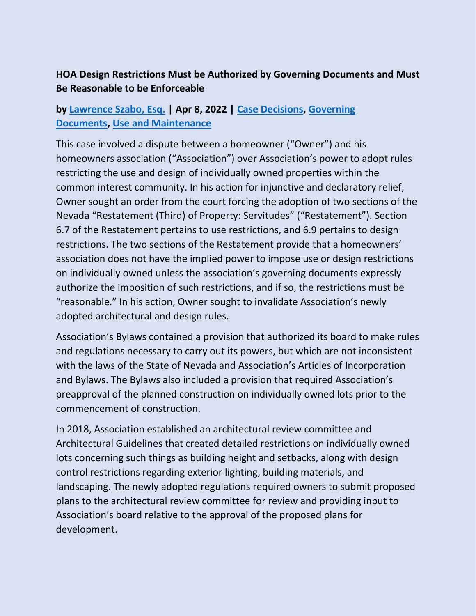## **HOA Design Restrictions Must be Authorized by Governing Documents and Must Be Reasonable to be Enforceable**

## **by [Lawrence Szabo, Esq.](https://www.hoamemberservices.com/author/larry/) | Apr 8, 2022 | [Case Decisions,](https://www.hoamemberservices.com/category/case-decisions/) [Governing](https://www.hoamemberservices.com/category/governing-documents/)  [Documents,](https://www.hoamemberservices.com/category/governing-documents/) [Use and Maintenance](https://www.hoamemberservices.com/category/use-and-maintenance/)**

This case involved a dispute between a homeowner ("Owner") and his homeowners association ("Association") over Association's power to adopt rules restricting the use and design of individually owned properties within the common interest community. In his action for injunctive and declaratory relief, Owner sought an order from the court forcing the adoption of two sections of the Nevada "Restatement (Third) of Property: Servitudes" ("Restatement"). Section 6.7 of the Restatement pertains to use restrictions, and 6.9 pertains to design restrictions. The two sections of the Restatement provide that a homeowners' association does not have the implied power to impose use or design restrictions on individually owned unless the association's governing documents expressly authorize the imposition of such restrictions, and if so, the restrictions must be "reasonable." In his action, Owner sought to invalidate Association's newly adopted architectural and design rules.

Association's Bylaws contained a provision that authorized its board to make rules and regulations necessary to carry out its powers, but which are not inconsistent with the laws of the State of Nevada and Association's Articles of Incorporation and Bylaws. The Bylaws also included a provision that required Association's preapproval of the planned construction on individually owned lots prior to the commencement of construction.

In 2018, Association established an architectural review committee and Architectural Guidelines that created detailed restrictions on individually owned lots concerning such things as building height and setbacks, along with design control restrictions regarding exterior lighting, building materials, and landscaping. The newly adopted regulations required owners to submit proposed plans to the architectural review committee for review and providing input to Association's board relative to the approval of the proposed plans for development.